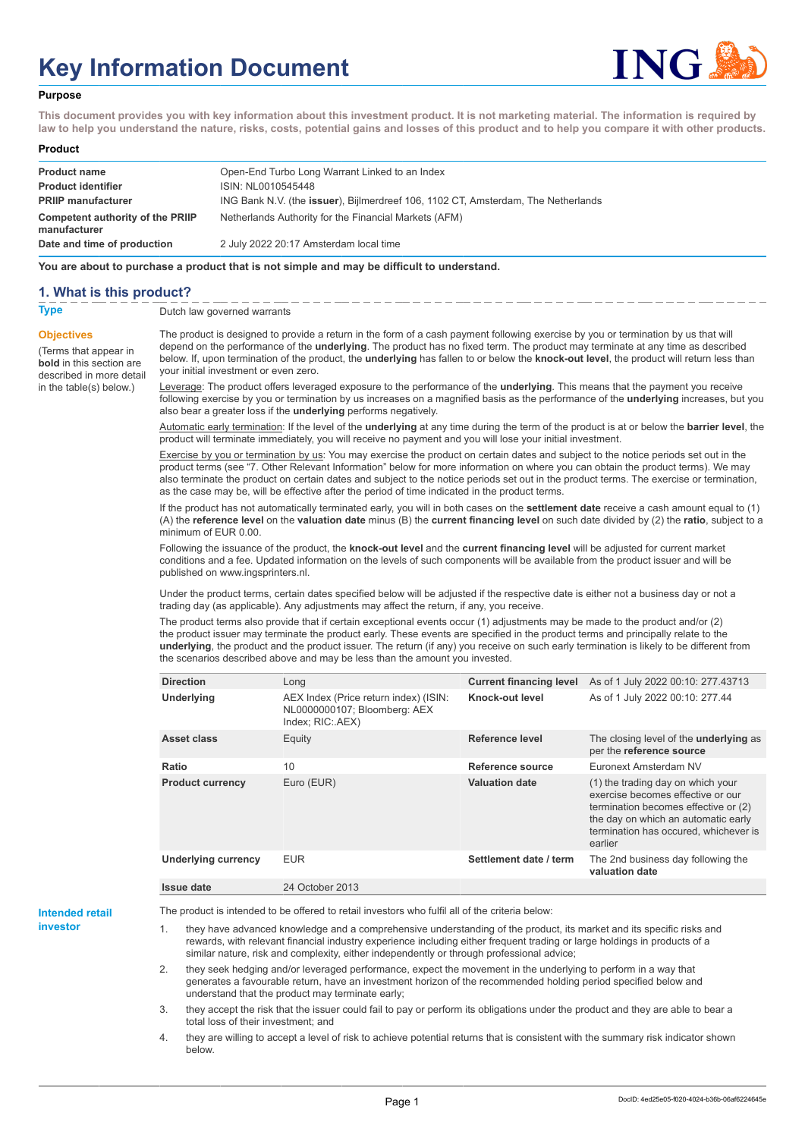# **Key Information Document**



#### **Purpose**

**This document provides you with key information about this investment product. It is not marketing material. The information is required by law to help you understand the nature, risks, costs, potential gains and losses of this product and to help you compare it with other products.**

#### **Product**

| <b>Product name</b><br><b>Product identifier</b> | Open-End Turbo Long Warrant Linked to an Index<br>ISIN: NL0010545448                      |
|--------------------------------------------------|-------------------------------------------------------------------------------------------|
| <b>PRIIP manufacturer</b>                        | ING Bank N.V. (the <b>issuer</b> ), Bijlmerdreef 106, 1102 CT, Amsterdam, The Netherlands |
| Competent authority of the PRIIP<br>manufacturer | Netherlands Authority for the Financial Markets (AFM)                                     |
| Date and time of production                      | 2 July 2022 20:17 Amsterdam local time                                                    |

**You are about to purchase a product that is not simple and may be difficult to understand.**

### **1. What is this product?**

**Objectives**

(Terms that appear in **bold** in this section are

in the table(s) below.)

**Type** Dutch law governed warrants

described in more detail The product is designed to provide a return in the form of a cash payment following exercise by you or termination by us that will depend on the performance of the **underlying**. The product has no fixed term. The product may terminate at any time as described below. If, upon termination of the product, the **underlying** has fallen to or below the **knock-out level**, the product will return less than your initial investment or even zero.

> Leverage: The product offers leveraged exposure to the performance of the **underlying**. This means that the payment you receive following exercise by you or termination by us increases on a magnified basis as the performance of the **underlying** increases, but you also bear a greater loss if the **underlying** performs negatively.

> Automatic early termination: If the level of the **underlying** at any time during the term of the product is at or below the **barrier level**, the product will terminate immediately, you will receive no payment and you will lose your initial investment.

> Exercise by you or termination by us: You may exercise the product on certain dates and subject to the notice periods set out in the product terms (see "7. Other Relevant Information" below for more information on where you can obtain the product terms). We may also terminate the product on certain dates and subject to the notice periods set out in the product terms. The exercise or termination, as the case may be, will be effective after the period of time indicated in the product terms.

> If the product has not automatically terminated early, you will in both cases on the **settlement date** receive a cash amount equal to (1) (A) the **reference level** on the **valuation date** minus (B) the **current financing level** on such date divided by (2) the **ratio**, subject to a minimum of EUR 0.00.

Following the issuance of the product, the **knock-out level** and the **current financing level** will be adjusted for current market conditions and a fee. Updated information on the levels of such components will be available from the product issuer and will be published on www.ingsprinters.nl.

Under the product terms, certain dates specified below will be adjusted if the respective date is either not a business day or not a trading day (as applicable). Any adjustments may affect the return, if any, you receive.

The product terms also provide that if certain exceptional events occur (1) adjustments may be made to the product and/or (2) the product issuer may terminate the product early. These events are specified in the product terms and principally relate to the **underlying**, the product and the product issuer. The return (if any) you receive on such early termination is likely to be different from the scenarios described above and may be less than the amount you invested.

| <b>Direction</b>           | Long                                                                                      | <b>Current financing level</b> | As of 1 July 2022 00:10: 277.43713                                                                                                                                                                        |
|----------------------------|-------------------------------------------------------------------------------------------|--------------------------------|-----------------------------------------------------------------------------------------------------------------------------------------------------------------------------------------------------------|
| <b>Underlying</b>          | AEX Index (Price return index) (ISIN:<br>NL0000000107; Bloomberg: AEX<br>Index; RIC: AEX) | Knock-out level                | As of 1 July 2022 00:10: 277.44                                                                                                                                                                           |
| Asset class                | Equity                                                                                    | Reference level                | The closing level of the <b>underlying</b> as<br>per the reference source                                                                                                                                 |
| Ratio                      | 10                                                                                        | Reference source               | Euronext Amsterdam NV                                                                                                                                                                                     |
| <b>Product currency</b>    | Euro (EUR)                                                                                | <b>Valuation date</b>          | (1) the trading day on which your<br>exercise becomes effective or our<br>termination becomes effective or (2)<br>the day on which an automatic early<br>termination has occured, whichever is<br>earlier |
| <b>Underlying currency</b> | <b>EUR</b>                                                                                | Settlement date / term         | The 2nd business day following the<br>valuation date                                                                                                                                                      |
| Issue date                 | 24 October 2013                                                                           |                                |                                                                                                                                                                                                           |

**Intended retail investor**

The product is intended to be offered to retail investors who fulfil all of the criteria below:

they have advanced knowledge and a comprehensive understanding of the product, its market and its specific risks and rewards, with relevant financial industry experience including either frequent trading or large holdings in products of a similar nature, risk and complexity, either independently or through professional advice;

2. they seek hedging and/or leveraged performance, expect the movement in the underlying to perform in a way that generates a favourable return, have an investment horizon of the recommended holding period specified below and understand that the product may terminate early;

3. they accept the risk that the issuer could fail to pay or perform its obligations under the product and they are able to bear a total loss of their investment; and

4. they are willing to accept a level of risk to achieve potential returns that is consistent with the summary risk indicator shown below.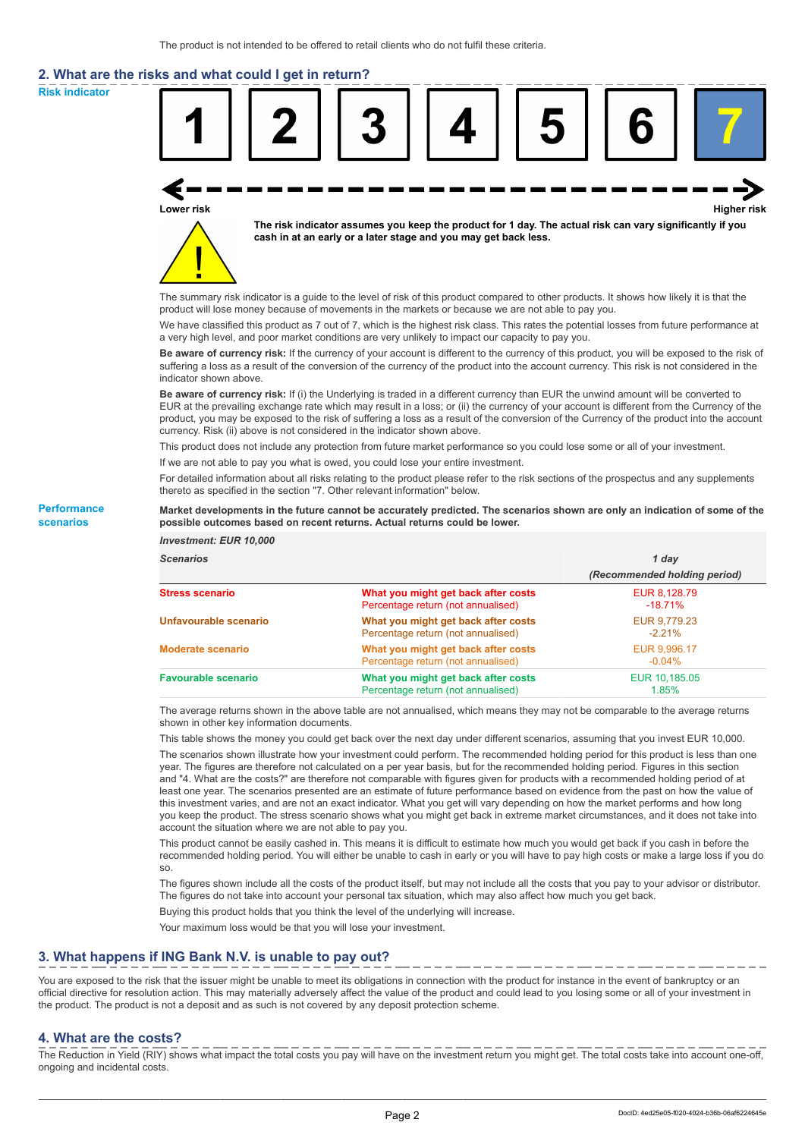# **2. What are the risks and what could I get in return?**

**Risk indicator**

**Performance scenarios**



thereto as specified in the section "7. Other relevant information" below.

#### **Market developments in the future cannot be accurately predicted. The scenarios shown are only an indication of some of the possible outcomes based on recent returns. Actual returns could be lower.**

| <b>Investment: EUR 10,000</b> |                                                                           |                              |
|-------------------------------|---------------------------------------------------------------------------|------------------------------|
| <b>Scenarios</b>              |                                                                           | 1 day                        |
|                               |                                                                           | (Recommended holding period) |
| <b>Stress scenario</b>        | What you might get back after costs<br>Percentage return (not annualised) | EUR 8.128.79<br>$-18.71%$    |
| Unfavourable scenario         | What you might get back after costs<br>Percentage return (not annualised) | EUR 9,779.23<br>$-2.21%$     |
| <b>Moderate scenario</b>      | What you might get back after costs<br>Percentage return (not annualised) | EUR 9.996.17<br>$-0.04\%$    |
| <b>Favourable scenario</b>    | What you might get back after costs<br>Percentage return (not annualised) | EUR 10,185.05<br>1.85%       |

The average returns shown in the above table are not annualised, which means they may not be comparable to the average returns shown in other key information documents.

This table shows the money you could get back over the next day under different scenarios, assuming that you invest EUR 10,000.

The scenarios shown illustrate how your investment could perform. The recommended holding period for this product is less than one year. The figures are therefore not calculated on a per year basis, but for the recommended holding period. Figures in this section and "4. What are the costs?" are therefore not comparable with figures given for products with a recommended holding period of at least one year. The scenarios presented are an estimate of future performance based on evidence from the past on how the value of this investment varies, and are not an exact indicator. What you get will vary depending on how the market performs and how long you keep the product. The stress scenario shows what you might get back in extreme market circumstances, and it does not take into account the situation where we are not able to pay you.

This product cannot be easily cashed in. This means it is difficult to estimate how much you would get back if you cash in before the recommended holding period. You will either be unable to cash in early or you will have to pay high costs or make a large loss if you do so.

The figures shown include all the costs of the product itself, but may not include all the costs that you pay to your advisor or distributor. The figures do not take into account your personal tax situation, which may also affect how much you get back.

Buying this product holds that you think the level of the underlying will increase.

Your maximum loss would be that you will lose your investment.

## **3. What happens if ING Bank N.V. is unable to pay out?**

You are exposed to the risk that the issuer might be unable to meet its obligations in connection with the product for instance in the event of bankruptcy or an official directive for resolution action. This may materially adversely affect the value of the product and could lead to you losing some or all of your investment in the product. The product is not a deposit and as such is not covered by any deposit protection scheme.

#### **4. What are the costs?**

The Reduction in Yield (RIY) shows what impact the total costs you pay will have on the investment return you might get. The total costs take into account one-off, ongoing and incidental costs.